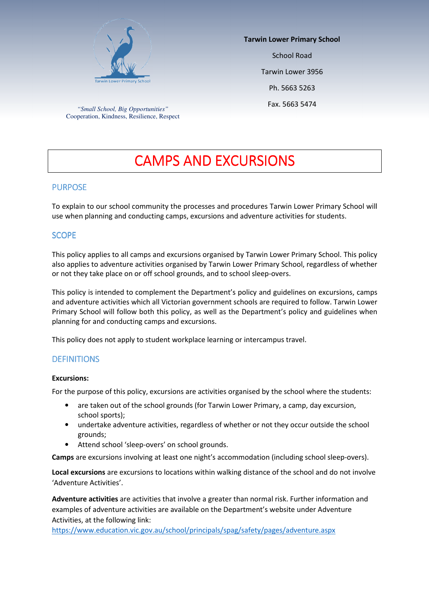

Fax. 5663 5474 *"Small School, Big Opportunities"*  Cooperation, Kindness, Resilience, Respect

Tarwin Lower Primary School School Road Tarwin Lower 3956 Ph. 5663 5263

# **CAMPS AND EXCURSIONS**

## **PURPOSE**

To explain to our school community the processes and procedures Tarwin Lower Primary School will use when planning and conducting camps, excursions and adventure activities for students.

## SCOPE

This policy applies to all camps and excursions organised by Tarwin Lower Primary School. This policy also applies to adventure activities organised by Tarwin Lower Primary School, regardless of whether or not they take place on or off school grounds, and to school sleep-overs.

This policy is intended to complement the Department's policy and guidelines on excursions, camps and adventure activities which all Victorian government schools are required to follow. Tarwin Lower Primary School will follow both this policy, as well as the Department's policy and guidelines when planning for and conducting camps and excursions.

This policy does not apply to student workplace learning or intercampus travel.

#### **DEFINITIONS**

#### Excursions:

For the purpose of this policy, excursions are activities organised by the school where the students:

- are taken out of the school grounds (for Tarwin Lower Primary, a camp, day excursion, school sports);
- undertake adventure activities, regardless of whether or not they occur outside the school grounds;
- Attend school 'sleep-overs' on school grounds.

Camps are excursions involving at least one night's accommodation (including school sleep-overs).

Local excursions are excursions to locations within walking distance of the school and do not involve 'Adventure Activities'.

Adventure activities are activities that involve a greater than normal risk. Further information and examples of adventure activities are available on the Department's website under Adventure Activities, at the following link:

https://www.education.vic.gov.au/school/principals/spag/safety/pages/adventure.aspx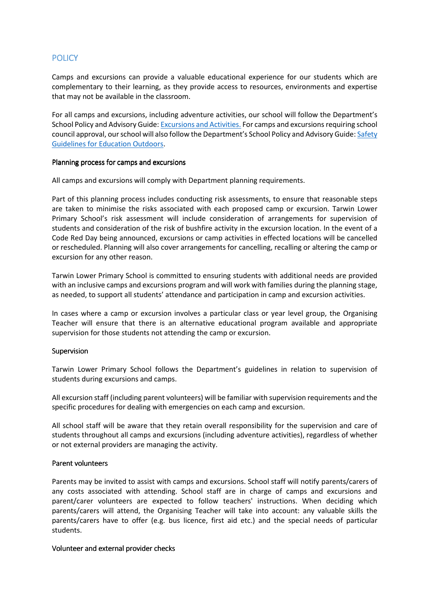## **POLICY**

Camps and excursions can provide a valuable educational experience for our students which are complementary to their learning, as they provide access to resources, environments and expertise that may not be available in the classroom.

For all camps and excursions, including adventure activities, our school will follow the Department's School Policy and Advisory Guide: Excursions and Activities. For camps and excursions requiring school council approval, our school will also follow the Department's School Policy and Advisory Guide: Safety Guidelines for Education Outdoors.

#### Planning process for camps and excursions

All camps and excursions will comply with Department planning requirements.

Part of this planning process includes conducting risk assessments, to ensure that reasonable steps are taken to minimise the risks associated with each proposed camp or excursion. Tarwin Lower Primary School's risk assessment will include consideration of arrangements for supervision of students and consideration of the risk of bushfire activity in the excursion location. In the event of a Code Red Day being announced, excursions or camp activities in effected locations will be cancelled or rescheduled. Planning will also cover arrangements for cancelling, recalling or altering the camp or excursion for any other reason.

Tarwin Lower Primary School is committed to ensuring students with additional needs are provided with an inclusive camps and excursions program and will work with families during the planning stage, as needed, to support all students' attendance and participation in camp and excursion activities.

In cases where a camp or excursion involves a particular class or year level group, the Organising Teacher will ensure that there is an alternative educational program available and appropriate supervision for those students not attending the camp or excursion.

#### Supervision

Tarwin Lower Primary School follows the Department's guidelines in relation to supervision of students during excursions and camps.

All excursion staff (including parent volunteers) will be familiar with supervision requirements and the specific procedures for dealing with emergencies on each camp and excursion.

All school staff will be aware that they retain overall responsibility for the supervision and care of students throughout all camps and excursions (including adventure activities), regardless of whether or not external providers are managing the activity.

#### Parent volunteers Parent volunteers

Parents may be invited to assist with camps and excursions. School staff will notify parents/carers of any costs associated with attending. School staff are in charge of camps and excursions and parent/carer volunteers are expected to follow teachers' instructions. When deciding which parents/carers will attend, the Organising Teacher will take into account: any valuable skills the parents/carers have to offer (e.g. bus licence, first aid etc.) and the special needs of particular students.

#### Volunteer and external provider checks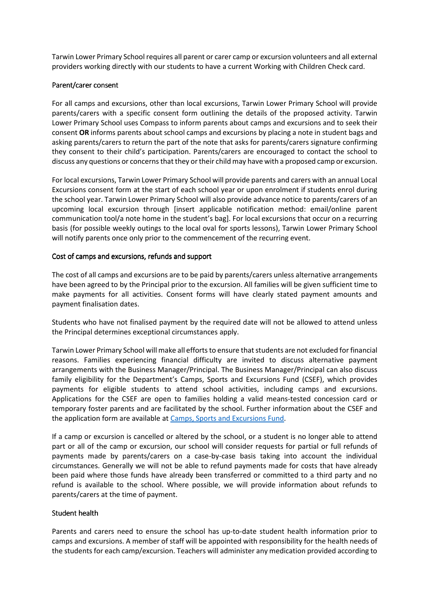Tarwin Lower Primary School requires all parent or carer camp or excursion volunteers and all external providers working directly with our students to have a current Working with Children Check card.

#### Parent/carer consent

For all camps and excursions, other than local excursions, Tarwin Lower Primary School will provide parents/carers with a specific consent form outlining the details of the proposed activity. Tarwin Lower Primary School uses Compass to inform parents about camps and excursions and to seek their consent OR informs parents about school camps and excursions by placing a note in student bags and asking parents/carers to return the part of the note that asks for parents/carers signature confirming they consent to their child's participation. Parents/carers are encouraged to contact the school to discuss any questions or concerns that they or their child may have with a proposed camp or excursion.

For local excursions, Tarwin Lower Primary School will provide parents and carers with an annual Local Excursions consent form at the start of each school year or upon enrolment if students enrol during the school year. Tarwin Lower Primary School will also provide advance notice to parents/carers of an upcoming local excursion through [insert applicable notification method: email/online parent communication tool/a note home in the student's bag]. For local excursions that occur on a recurring basis (for possible weekly outings to the local oval for sports lessons), Tarwin Lower Primary School will notify parents once only prior to the commencement of the recurring event.

### Cost of camps and excursions, refunds and support

The cost of all camps and excursions are to be paid by parents/carers unless alternative arrangements have been agreed to by the Principal prior to the excursion. All families will be given sufficient time to make payments for all activities. Consent forms will have clearly stated payment amounts and payment finalisation dates.

Students who have not finalised payment by the required date will not be allowed to attend unless the Principal determines exceptional circumstances apply.

Tarwin Lower Primary School will make all efforts to ensure that students are not excluded for financial reasons. Families experiencing financial difficulty are invited to discuss alternative payment arrangements with the Business Manager/Principal. The Business Manager/Principal can also discuss family eligibility for the Department's Camps, Sports and Excursions Fund (CSEF), which provides payments for eligible students to attend school activities, including camps and excursions. Applications for the CSEF are open to families holding a valid means-tested concession card or temporary foster parents and are facilitated by the school. Further information about the CSEF and the application form are available at Camps, Sports and Excursions Fund.

If a camp or excursion is cancelled or altered by the school, or a student is no longer able to attend part or all of the camp or excursion, our school will consider requests for partial or full refunds of payments made by parents/carers on a case-by-case basis taking into account the individual circumstances. Generally we will not be able to refund payments made for costs that have already been paid where those funds have already been transferred or committed to a third party and no refund is available to the school. Where possible, we will provide information about refunds to parents/carers at the time of payment.

#### Student health

Parents and carers need to ensure the school has up-to-date student health information prior to camps and excursions. A member of staff will be appointed with responsibility for the health needs of the students for each camp/excursion. Teachers will administer any medication provided according to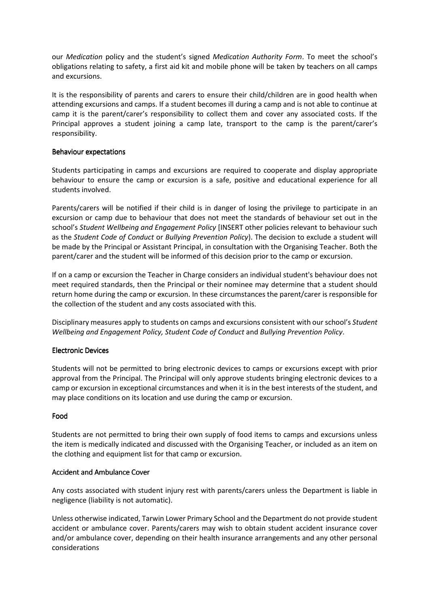our Medication policy and the student's signed Medication Authority Form. To meet the school's obligations relating to safety, a first aid kit and mobile phone will be taken by teachers on all camps and excursions.

It is the responsibility of parents and carers to ensure their child/children are in good health when attending excursions and camps. If a student becomes ill during a camp and is not able to continue at camp it is the parent/carer's responsibility to collect them and cover any associated costs. If the Principal approves a student joining a camp late, transport to the camp is the parent/carer's responsibility.

#### Behaviour expectations

Students participating in camps and excursions are required to cooperate and display appropriate behaviour to ensure the camp or excursion is a safe, positive and educational experience for all students involved.

Parents/carers will be notified if their child is in danger of losing the privilege to participate in an excursion or camp due to behaviour that does not meet the standards of behaviour set out in the school's Student Wellbeing and Engagement Policy [INSERT other policies relevant to behaviour such as the Student Code of Conduct or Bullying Prevention Policy). The decision to exclude a student will be made by the Principal or Assistant Principal, in consultation with the Organising Teacher. Both the parent/carer and the student will be informed of this decision prior to the camp or excursion.

If on a camp or excursion the Teacher in Charge considers an individual student's behaviour does not meet required standards, then the Principal or their nominee may determine that a student should return home during the camp or excursion. In these circumstances the parent/carer is responsible for the collection of the student and any costs associated with this.

Disciplinary measures apply to students on camps and excursions consistent with our school's Student Wellbeing and Engagement Policy, Student Code of Conduct and Bullying Prevention Policy.

## Electronic Devices

Students will not be permitted to bring electronic devices to camps or excursions except with prior approval from the Principal. The Principal will only approve students bringing electronic devices to a camp or excursion in exceptional circumstances and when it is in the best interests of the student, and may place conditions on its location and use during the camp or excursion.

## Food

Students are not permitted to bring their own supply of food items to camps and excursions unless the item is medically indicated and discussed with the Organising Teacher, or included as an item on the clothing and equipment list for that camp or excursion.

#### Accident and Ambulance Cover

Any costs associated with student injury rest with parents/carers unless the Department is liable in negligence (liability is not automatic).

Unless otherwise indicated, Tarwin Lower Primary School and the Department do not provide student accident or ambulance cover. Parents/carers may wish to obtain student accident insurance cover and/or ambulance cover, depending on their health insurance arrangements and any other personal considerations